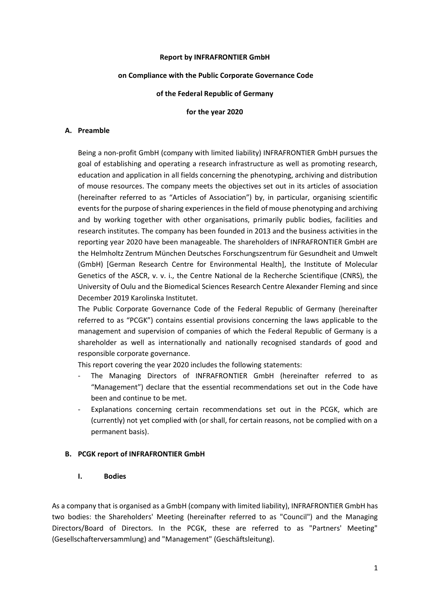#### **Report by INFRAFRONTIER GmbH**

### **on Compliance with the Public Corporate Governance Code**

### **of the Federal Republic of Germany**

### **for the year 2020**

### **A. Preamble**

Being a non-profit GmbH (company with limited liability) INFRAFRONTIER GmbH pursues the goal of establishing and operating a research infrastructure as well as promoting research, education and application in all fields concerning the phenotyping, archiving and distribution of mouse resources. The company meets the objectives set out in its articles of association (hereinafter referred to as "Articles of Association") by, in particular, organising scientific events for the purpose of sharing experiences in the field of mouse phenotyping and archiving and by working together with other organisations, primarily public bodies, facilities and research institutes. The company has been founded in 2013 and the business activities in the reporting year 2020 have been manageable. The shareholders of INFRAFRONTIER GmbH are the Helmholtz Zentrum München Deutsches Forschungszentrum für Gesundheit and Umwelt (GmbH) [German Research Centre for Environmental Health], the Institute of Molecular Genetics of the ASCR, v. v. i., the Centre National de la Recherche Scientifique (CNRS), the University of Oulu and the Biomedical Sciences Research Centre Alexander Fleming and since December 2019 Karolinska Institutet.

The Public Corporate Governance Code of the Federal Republic of Germany (hereinafter referred to as "PCGK") contains essential provisions concerning the laws applicable to the management and supervision of companies of which the Federal Republic of Germany is a shareholder as well as internationally and nationally recognised standards of good and responsible corporate governance.

This report covering the year 2020 includes the following statements:

- The Managing Directors of INFRAFRONTIER GmbH (hereinafter referred to as "Management") declare that the essential recommendations set out in the Code have been and continue to be met.
- Explanations concerning certain recommendations set out in the PCGK, which are (currently) not yet complied with (or shall, for certain reasons, not be complied with on a permanent basis).

## **B. PCGK report of INFRAFRONTIER GmbH**

## **I. Bodies**

As a company that is organised as a GmbH (company with limited liability), INFRAFRONTIER GmbH has two bodies: the Shareholders' Meeting (hereinafter referred to as "Council") and the Managing Directors/Board of Directors. In the PCGK, these are referred to as "Partners' Meeting" (Gesellschafterversammlung) and "Management" (Geschäftsleitung).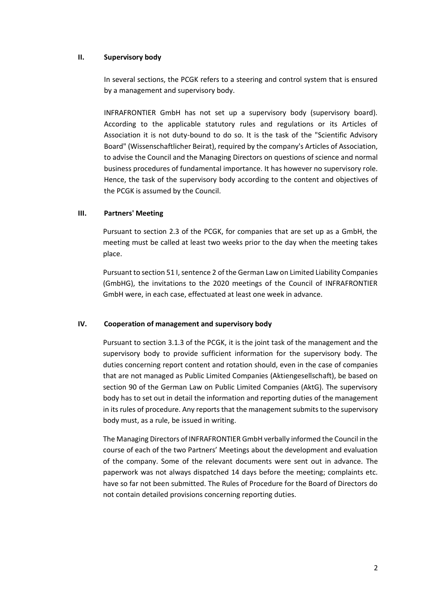# **II. Supervisory body**

In several sections, the PCGK refers to a steering and control system that is ensured by a management and supervisory body.

INFRAFRONTIER GmbH has not set up a supervisory body (supervisory board). According to the applicable statutory rules and regulations or its Articles of Association it is not duty-bound to do so. It is the task of the "Scientific Advisory Board" (Wissenschaftlicher Beirat), required by the company's Articles of Association, to advise the Council and the Managing Directors on questions of science and normal business procedures of fundamental importance. It has however no supervisory role. Hence, the task of the supervisory body according to the content and objectives of the PCGK is assumed by the Council.

# **III. Partners' Meeting**

Pursuant to section 2.3 of the PCGK, for companies that are set up as a GmbH, the meeting must be called at least two weeks prior to the day when the meeting takes place.

Pursuant to section 51 I, sentence 2 of the German Law on Limited Liability Companies (GmbHG), the invitations to the 2020 meetings of the Council of INFRAFRONTIER GmbH were, in each case, effectuated at least one week in advance.

## **IV. Cooperation of management and supervisory body**

Pursuant to section 3.1.3 of the PCGK, it is the joint task of the management and the supervisory body to provide sufficient information for the supervisory body. The duties concerning report content and rotation should, even in the case of companies that are not managed as Public Limited Companies (Aktiengesellschaft), be based on section 90 of the German Law on Public Limited Companies (AktG). The supervisory body has to set out in detail the information and reporting duties of the management in its rules of procedure. Any reports that the management submits to the supervisory body must, as a rule, be issued in writing.

The Managing Directors of INFRAFRONTIER GmbH verbally informed the Council in the course of each of the two Partners' Meetings about the development and evaluation of the company. Some of the relevant documents were sent out in advance. The paperwork was not always dispatched 14 days before the meeting; complaints etc. have so far not been submitted. The Rules of Procedure for the Board of Directors do not contain detailed provisions concerning reporting duties.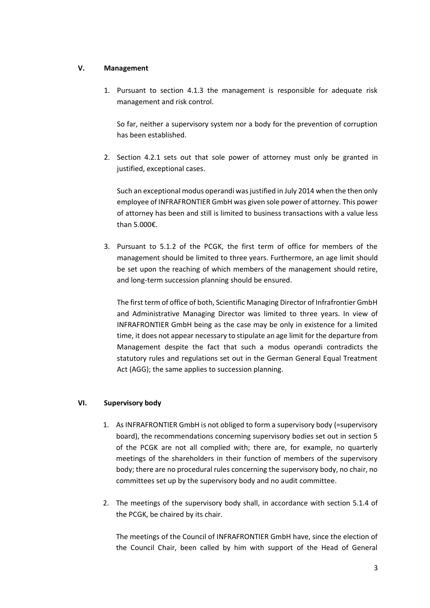# **V. Management**

1. Pursuant to section 4.1.3 the management is responsible for adequate risk management and risk control.

So far, neither a supervisory system nor a body for the prevention of corruption has been established.

2. Section 4.2.1 sets out that sole power of attorney must only be granted in justified, exceptional cases.

Such an exceptional modus operandi was justified in July 2014 when the then only employee of INFRAFRONTIER GmbH was given sole power of attorney. This power of attorney has been and still is limited to business transactions with a value less than 5.000€.

3. Pursuant to 5.1.2 of the PCGK, the first term of office for members of the management should be limited to three years. Furthermore, an age limit should be set upon the reaching of which members of the management should retire, and long-term succession planning should be ensured.

The first term of office of both, Scientific Managing Director of Infrafrontier GmbH and Administrative Managing Director was limited to three years. In view of INFRAFRONTIER GmbH being as the case may be only in existence for a limited time, it does not appear necessary to stipulate an age limit for the departure from Management despite the fact that such a modus operandi contradicts the statutory rules and regulations set out in the German General Equal Treatment Act (AGG); the same applies to succession planning.

## **VI. Supervisory body**

- 1. As INFRAFRONTIER GmbH is not obliged to form a supervisory body (=supervisory board), the recommendations concerning supervisory bodies set out in section 5 of the PCGK are not all complied with; there are, for example, no quarterly meetings of the shareholders in their function of members of the supervisory body; there are no procedural rules concerning the supervisory body, no chair, no committees set up by the supervisory body and no audit committee.
- 2. The meetings of the supervisory body shall, in accordance with section 5.1.4 of the PCGK, be chaired by its chair.

The meetings of the Council of INFRAFRONTIER GmbH have, since the election of the Council Chair, been called by him with support of the Head of General